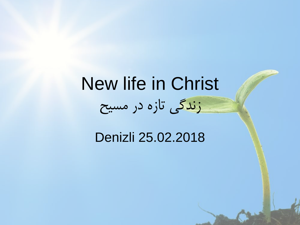## New life in Christ زندگی تازه در مسیح

### Denizli 25.02.2018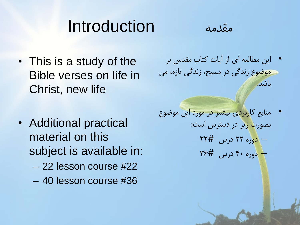### مقدمه Introduction

- This is a study of the Bible verses on life in Christ, new life
- Additional practical material on this subject is available in:
	- 22 lesson course #22
	- 40 lesson course #36
- این مطالعه ای از آیات کتاب مقدس بر موضوع زندگی در مسیح، زندگی تازه، می باشد.
- منابع کاربردی بیشتر در مورد این موضوع بصورت زیر در دسترس است: – دوره 22 درس 22# – دوره 40 درس 36#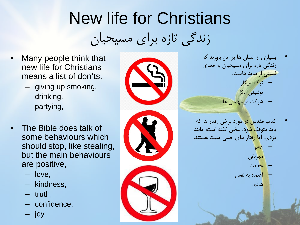## New life for Christians زندگی تازه برای مسیحیان

- Many people think that new life for Christians means a list of don'ts.
	- giving up smoking,
	- drinking,
	- partying,
- The Bible does talk of some behaviours which should stop, like stealing, but the main behaviours are positive,
	- love,
	- kindness,
	- truth,
	- confidence,
	- joy



- بسیاری از انسان ها بر این باورند که زندگی تازه برای مسیحیان به معنای لیستی از نباید هاست. – ترک سیگار – نوشیدن الکل – شرکت در مهمانی ها
- کتاب مقدس در مورد برخی رفتار ها که باید متوقف شود، سخن گفته است، مانند دزدی. اما رفتار های اصلی مثبت هستند.

– عشق

– مهربانی

– حقیقت

– شادی

– اعتماد به نفس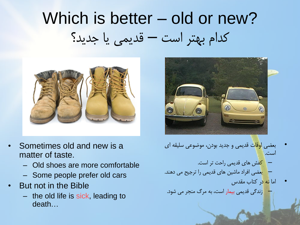## Which is better – old or new? کدام بهتر است – قدیمی یا جدید؟



- Sometimes old and new is a matter of taste.
	- Old shoes are more comfortable
	- Some people prefer old cars
- But not in the Bible
	- the old life is sick, leading to death…



- بعضی اوقات قدیمی و جدید بودن، موضوعی سلیقه ای است. – کفش های قدیمی راحت تر است. – بعضی افراد ماشین های قدیمی را ترجیح می دهند.
- اما نه در کتاب مقدس

– زندگی قدیمی بیمار است، به مرگ منجر می شود.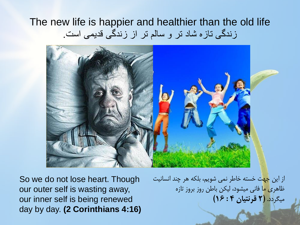#### The new life is happier and healthier than the old life زندگی تازه شاد تر و سالم تر از زندگی قدیمی است.



So we do not lose heart. Though our outer self is wasting away, our inner self is being renewed day by day. **(2 Corinthians 4:16)** از این جهت خسته خاطر نمی شویم، بلکه هر چند انسانیت ظاهری ما فانی میشود، لیکن باطن روز بروز تازه میگردد. **)2 قرنتیان 4 : 16(**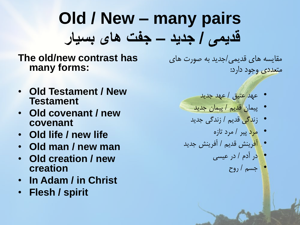## **Old / New – many pairs قدیمی / جدید – جفت های بسیار**

**The old/new contrast has many forms:**

- **Old Testament / New Testament**
- **Old covenant / new covenant**
- **Old life / new life**
- **Old man / new man**
- **Old creation / new creation**
- **In Adam / in Christ**
- **Flesh / spirit**

مقایسه های قدیمی/جدید به صورت های متعددی وجود دارد:

- عهد عتیق / عهد جدید
- پیمان قدیم / پیمان جدید
	- زندگی قدیم / زندگی جدید
		- مرد پیر / مرد تازه
- آفرینش قدیم / آفرینش جدید
	- در آدم / در عیسی
		- جسم / روح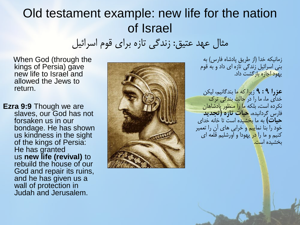### Old testament example: new life for the nation of Israel مثال عهد عتیق: زندگی تازه برای قوم اسرائیل

When God (through the kings of Persia) gave new life to Israel and allowed the Jews to return.

**Ezra 9:9** Though we are slaves, our God has not forsaken us in our bondage. He has shown us kindness in the sight of the kings of Persia: He has granted us **new life (revival)** to rebuild the house of our God and repair its ruins, and he has given us a wall of protection in Judah and Jerusalem.



زمانیکه خدا (از طریق پادشاه فارس) به بنی اسرائیل زندگی تازه ای داد و به قوم یهود اجازه بازگشت داد.

**عزرا 9 : 9** زیرا که ما بندگانیم، لیکن خدای ما، ما را در حالت بندگی ترک نکرده است، بلکه ما را منظور پادشاهان فارس گردانیده، **حیات تازه )تجدید حیات(** به ما بخشیده است تا خانه خدای خود را بنا نماییم و خرابی های آن را تعمیر کنیم و ما را در یهودا و اورشلیم قلعه ای بخشیده است.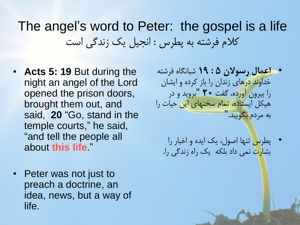The angel's word to Peter: the gospel is a life کالم فرشته به پطرس : انجیل یک زندگی است

- **Acts 5: 19** But during the night an angel of the Lord opened the prison doors, brought them out, and said, **20** "Go, stand in the temple courts," he said, "and tell the people all about **this life**."
- Peter was not just to preach a doctrine, an idea, news, but a way of life.

• **اعمال رسوالن 5 : 19** شبانگاه فرشته خداوند درهای زندان را باز کرده و ایشان بروید و در را بیرون آورده، گفت **20** " هیکل ایستاده، تمام سخنهای این حیات را به مردم بگویید."

• پطرس تنها اصول، یک ایده و اخبار را بشارت نمی داد بلکه یک راه زندگی را.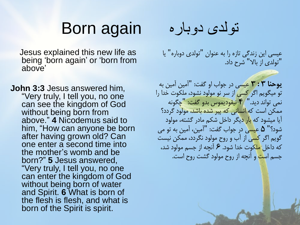### تولدی دوباره again Born

Jesus explained this new life as being 'born again' or 'born from above'

**John 3:3** Jesus answered him, "Very truly, I tell you, no one can see the kingdom of God without being born from above." **4** Nicodemus said to him, "How can anyone be born after having grown old? Can one enter a second time into the mother's womb and be born?" **5** Jesus answered, "Very truly, I tell you, no one can enter the kingdom of God without being born of water and Spirit. **6** What is born of the flesh is flesh, and what is born of the Spirit is spirit.

عیسی این زندگی تازه را به عنوان "تولدی دوباره" یا "تولدی از باال" شرح داد.

"آمین آمین به **یوحنا 3 : 3** عیسی در جواب او گفت: تو میگویم اگر کسی از سر نو مولود نشود، ملکوت خدا را "چگونه نمی تواند دید." **4** نیقودیموس بدو گفت: ممکن است که انسانی که پیر شده باشد، مولود گردد؟ آیا میشود که بار دیگر داخل شکم مادر گشته، مولود "آمین، آمین به تو می شود؟" **5** عیسی در جواب گفت: گویم اگر کسی از آب و روح مولود نگردد، ممکن نیست که داخل ملکوت خدا شود. **6** آنچه از جسم مولود شد، جسم است و آنچه از روح مولود گشت روح است.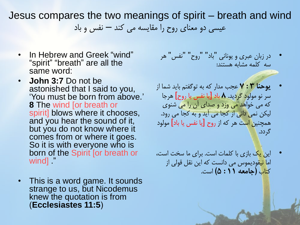Jesus compares the two meanings of spirit – breath and wind

عیسی دو معنای روح را مقایسه می کند – نفس و باد

- In Hebrew and Greek "wind" "spirit" "breath" are all the same word:
- **John 3:7** Do not be astonished that I said to you, 'You must be born from above.' **8** The wind [or breath or spirit] blows where it chooses, and you hear the sound of it, but you do not know where it comes from or where it goes. So it is with everyone who is born of the Spirit [or breath or wind] "
- This is a word game. It sounds strange to us, but Nicodemus knew the quotation is from )**Ecclesiastes 11:5**(
- هر " "نفس" روح در زبان عبری و یونانی "باد" " سه کلمه مشابه هستند:
- **یوحنا 3 : 7** عجب مدار که به توگفتم باید شما از سر نو مولود گردید. **8** باد [یا نفس یا روح] هرجا که می خواهد می وزد و صدای آن را می شنوی لیکن نمی دانی از کجا می آید و به کجا می رود. همچنین است هر که از روح [یا نفس یا باد] مولود گردد.
- این یک بازی با کلمات است. برای ما سخت است، اما نیقودیموس می دانست که این نقل قولی از کتاب **)جامعه 11 : 5(** است.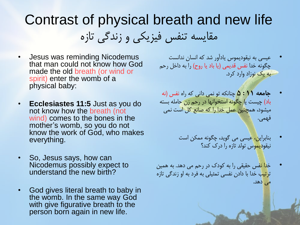### Contrast of physical breath and new life مقایسه تنفس فیزیکی و زندگی تازه

- Jesus was reminding Nicodemus that man could not know how God made the old breath (or wind or spirit) enter the womb of a physical baby:
- **Ecclesiastes 11:5** Just as you do not know how the breath (not wind) comes to the bones in the mother's womb, so you do not know the work of God, who makes everything.
- So, Jesus says, how can Nicodemus possibly expect to understand the new birth?
- God gives literal breath to baby in the womb. In the same way God with give figurative breath to the person born again in new life.
- عیسی به نیقودیموس یادآور شد که انسان ندانست چگونه خدا نفس قدیمی (یا باد یا روح) را به داخل رحم به یک نوزاد وارد کرد.
- **جامعه 11 : 5** چنانکه تو نمی دانی که راه نفس )نه باد( چیست یا چگونه استخوانها در رحم زن حامله بسته میشود، همچنین عمل خدا را که صانع کل است نمی فهمی.
	- بنابراین، عیسی می گوید، چگونه ممکن است نیقودیموس تولد تازه را درک کند؟
- خدا نفس حقیقی را به کودک در رحم می دهد. به همین ترتیب خدا با دادن نفسی تمثیلی به فرد به او زندگی تازه می دهد.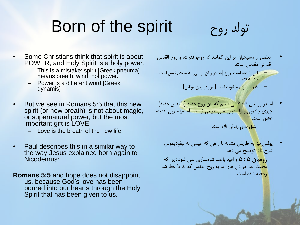## Born of the spirit روح تولد

- Some Christians think that spirit is about POWER, and Holy Spirit is a holy power.
	- This is a mistake; spirit [Greek pneuma] means breath, wind, not power.
	- Power is a different word [Greek dynamis]
- But we see in Romans 5:5 that this new spirit (or new breath) is not about magic, or supernatural power, but the most important gift is LOVE.
	- Love is the breath of the new life.
- Paul describes this in a similar way to the way Jesus explained born again to Nicodemus:
- **Romans 5:5** and hope does not disappoint us, because God's love has been poured into our hearts through the Holy Spirit that has been given to us.
- بعضی از مسیحیان بر این گمانند که روح، قدرت، و روح القدس قدرتی مقدس است.
- این اشتباه است. روح [باد در زبان یونانی] به معنای نفس است، باد، نه قدرت.
	- قدرت امری متفاوت است [نیرو در زبان یونانی]
- اما در رومیان 5 : 5 می بینیم که این روح جدید )یا نفس جدید( چیزی جادویی و یا قدرتی ماوراطبیعی نیست، اما مهمترین هدیه، عشق است.
	- عشق نفسِ زندگی تازه است.
	- پولس <mark>نیز ب</mark>ه طریقی مشابه با راهی که عیسی به نیقودیموس شرح داد، توضیح می دهد:

**رومیان 5 : 5** و امید باعث شرمساری نمی شود زیرا که <mark>محب</mark>ت خدا در دل های ما به روح القدس که به ما عطا شد ریخته شده است.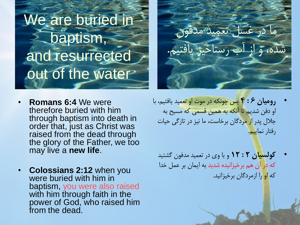

- **Romans 6:4** We were therefore buried with him through baptism into death in order that, just as Christ was raised from the dead through the glory of the Father, we too may live a **new life**.
- **Colossians 2:12** when you were buried with him in baptism, you were also raised with him through faith in the power of God, who raised him from the dead.



- **رومیان 6 : 4** پس چونکه در موت او تعمید یافتیم، با او دفن شدیم تا آنکه به همین قسمی که مسیح به جالل پدر از مردگان برخاست، ما نیز در تازگی حیات رفتار نماییم.
	- **کولسیان 2 : 12** و با وی در تعمید مدفون گشتید که در آن هم برخیزانیده شدید به ایمان بر عمل خدا که او را ازمردگان برخیزانید.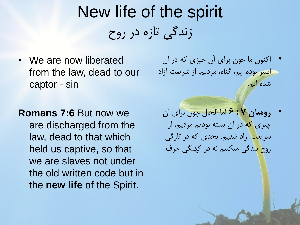New life of the spirit زندگی تازه در روح

• We are now liberated from the law, dead to our captor - sin

**Romans 7:6** But now we are discharged from the law, dead to that which held us captive, so that we are slaves not under the old written code but in the **new life** of the Spirit.

• اکنون ما چون برای آن چیزی که در آن اسیر بوده ایم، گناه، مردیم، از شریعت آزاد شده ایم.

• **رومیان 7 : 6** اما الحال چون برای آن چیزی که در آن بسته بودیم مردیم، از شریعت آزاد شدیم، بحدی که در تازگی روح بندگی میکنیم نه در کهنگی حرف.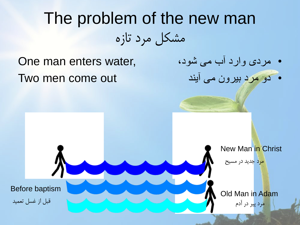# The problem of the new man مشکل مرد تازه

One man enters water,

Two men come out

New Man in Christ

مرد جدید در مسیح

Old Man in Adam

مرد پیر در آدم

• مردی وارد آب می شود،

• دو مرد بیرون می آیند

Before baptism

قبل از غسل تعمید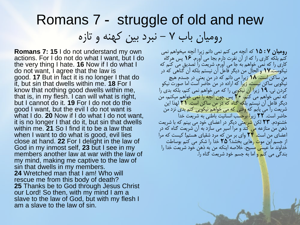### Romans 7 - struggle of old and new رومیان باب 7 - نبرد بین کهنه و تازه

**Romans 7: 15** I do not understand my own actions. For I do not do what I want, but I do the very thing I hate. **16** Now if I do what I do not want, I agree that the law is good. **17** But in fact it is no longer I that do it, but sin that dwells within me. **18** For I know that nothing good dwells within me, that is, in my flesh. I can will what is right, but I cannot do it. **19** For I do not do the good I want, but the evil I do not want is what I do. **20** Now if I do what I do not want, it is no longer I that do it, but sin that dwells within me. **21** So I find it to be a law that when I want to do what is good, evil lies close at hand. **22** For I delight in the law of God in my inmost self, **23** but I see in my members another law at war with the law of my mind, making me captive to the law of sin that dwells in my members. **24** Wretched man that I am! Who will rescue me from this body of death? **25** Thanks be to God through Jesus Christ our Lord! So then, with my mind I am a slave to the law of God, but with my flesh I am a slave to the law of sin.

**رومیان 7 : 15** که آنچه می کنم نمی دانم زیرا آنچه میخواهم نمی کنم بلکه کاری را که از آن نفرت دارم بجا می آورم. **16** پس هرگاه کاری را که نمی خواهم به جا می آورم، شریعت را تصدیق می کنم که نیکوست**17**. و الحال من دیگر فاعل آن نیستم بلکه آن گناهی که در من ساکن است. **18** زیرا می دانم که در من یعنی در جسدم هیچ نیکویی ساکن نیست، زیرا که اراده در من حاضر است اما صورت نیکو کردن نی. **19** زیرا آن نیکویی را که می خواهم نمی کنم، بلکه بدی را که نمی خواهم می کنم. **20** پس چون آنچه را نمی خواهم میکنم، من دیگر فاعل آن نیستم بلکه گناه که در من ساکن است. **21** لهذا این شریعت را می یابم که وقتی که می خواهم نیکویی کنم بدی نزد من حاضر است. **22** زیرا برحسب انسانیت باطنی به شریعت خدا خشنودم. **23** لکن شریعتی دیگر در اعضای خود می بینم که با شریعت ذهن من منازعه می کند و مرا اسیر می سازد به آن شریعت گناه که در اعضای من است. **24** وای بر من که مرد شقیای هستم! کیست که مرا از جسم این موت رهایی بخشد؟ **25** خدا را شکر می کنم بوساطت خداوند ما عیسی مسیح. خالصه اینکه من به ذهن خود شریعت خدا را بندگی می کنم و اما به جسم خود شریعت گناه را.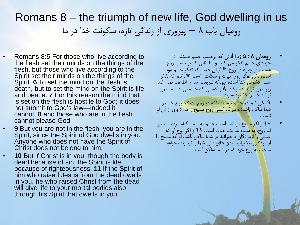#### Romans 8 – the triumph of new life, God dwelling in us رومیان باب 8 – پیروزی از زندگی تازه، سکونت خدا در ما

- Romans 8:5 For those who live according to the flesh set their minds on the things of the flesh, but those who live according to the Spirit set their minds on the things of the Spirit. **6** To set the mind on the flesh is death, but to set the mind on the Spirit is life and peace. **7** For this reason the mind that is set on the flesh is hostile to God; it does not submit to God's law—indeed it cannot, **8** and those who are in the flesh cannot please God.
- **9** But you are not in the flesh; you are in the Spirit, since the Spirit of God dwells in you. Anyone who does not have the Spirit of Christ does not belong to him.
- **10** But if Christ is in you, though the body is dead because of sin, the Spirit is life because of righteousness. **11** If the Spirit of him who raised Jesus from the dead dwells in you, he who raised Christ from the dead will give life to your mortal bodies also through his Spirit that dwells in you.
- **رومیان 8 : 5** زیرا آنانی که برحسب جسم هستند، در چیزهای جسم تفکر می کنند و اما آنانی که بر حسب روح هستند در چیزهای روح. **6** از آن جهت که تفکر جسم موت است، لکن تفکر روح حیات و سالمتی است. **7** زانرو که تفکر جسم دشمنی خدا است، چونکه شریعت خدا را اطاعت نمی کند، زیرا نمی تواند هم بکند. **8** و کسانی که جسمانی هستند، نمی توانند خدا را خشنود سازند.
- **9** لکن شما در جسم نیستید بلکه در روح، هرگاه روح خدا در شما ساکن باشد؛ و هرگاه کسی روح مسیح را ندارد وی از آن او نیست.
- **10** و اگر مسیح در شما است، جسم به سبب گناه مرده است و اما روح، به سبب عدالت، حیات است. **11** و اگر روح او که عیسی را ازمردگان برخیزانید در شما ساکن باشد، او که مسیح را از مردگان برخیزانید، بدن های فانی شما را نیز زنده خواهد ساخت به روح خود که در شما ساکن است.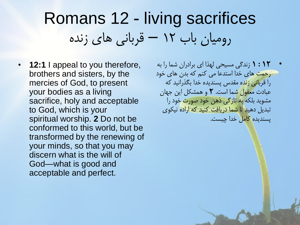## Romans 12 - living sacrifices رومیان باب 12 – قربانی های زنده

• **12:1** I appeal to you therefore, brothers and sisters, by the mercies of God, to present your bodies as a living sacrifice, holy and acceptable to God, which is your spiritual worship. **2** Do not be conformed to this world, but be transformed by the renewing of your minds, so that you may discern what is the will of God—what is good and acceptable and perfect.

• **12 : 1** زندگی مسیحی لهذا ای برادران شما را به رحمت های خدا استدعا می کنم که بدن های خود را قربانی زنده مقدس پسندیده خدا بگذرانید که عبادت معقول شما است. **2** و همشکل این جهان مشوید بلکه به تازگی ذهن خود صورت خود را تبدیل دهید تا شما دریافت کنید که اراده نیکوی پسندیده کامل خدا چیست.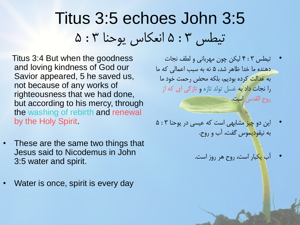## Titus 3:5 echoes John 3:5 تیطس 3 : 5 انعکاس یوحنا 3 : 5

Titus 3:4 But when the goodness and loving kindness of God our Savior appeared, 5 he saved us, not because of any works of righteousness that we had done, but according to his mercy, through the washing of rebirth and renewal by the Holy Spirit.

- These are the same two things that Jesus said to Nicodemus in John 3:5 water and spirit.
- Water is once, spirit is every day
- تیطس 3 : 4 لیکن چون مهربانی و لطف نجات دهنده ما خدا ظاهر شد، 5 نه به سبب اعمالی که ما به عدالت کرده بودیم، بلکه محض رحمت خود ما را نجات داد به غسل تولد تازه و تازگی ای که از روح القدس است.
- این دو چیز مشابهی است که عیسی در یوحنا 3 : 5 به نیقودیموس گفت، آب و روح.
	- آب یکبار است، روح هر روز است.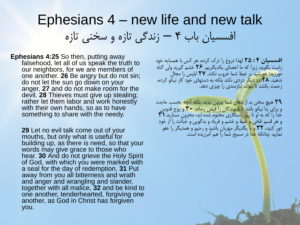### Ephesians 4 – new life and new talk افسسیان باب 4 – زندگی تازه و سخنی تازه

**Ephesians 4:25** So then, putting away falsehood, let all of us speak the truth to our neighbors, for we are members of one another. **26** Be angry but do not sin; do not let the sun go down on your anger, **27** and do not make room for the devil. **28** Thieves must give up stealing; rather let them labor and work honestly with their own hands, so as to have something to share with the needy.

**29** Let no evil talk come out of your mouths, but only what is useful for building up, as there is need, so that your words may give grace to those who hear. **30** And do not grieve the Holy Spirit of God, with which you were marked with a seal for the day of redemption. **31** Put away from you all bitterness and wrath and anger and wrangling and slander, together with all malice, **32** and be kind to one another, tenderhearted, forgiving one another, as God in Christ has forgiven you.

**افسسیان 4 : 25** لهذا دروغ را ترک کرده، هر کس با همسایه خود راست بگوید، زیرا که ما اعضای یکدیگریم. **26** خشم گیرید ولی گناه مورزید؛ خورشید بر غیظ شما غروب نکند. **27** ابلیس را مجال ندهید. **28**دزد دیگر دزدی نکند بلکه به دستهای خود کار نیکو کرده، زحمت بکشد تا بتواند نیازمندی را چیزی دهد.

**29** هیچ سخن بد از دهان شما بیرون نیاید، بلکه آنچه بحسب حاجت و برای بنا نیکو باشد تا شنوندگان را فیض رساند. **30** و روح قدوس خدا را که به او تا روز رستگاری مختوم شده اید، محزون مسازید**31**. و هر قسم تلخی و غیظ و خشم و فریاد و بدگویی و خباثت را از خود دور کنید، **32** و با یگدیگر مهربان باشید و رحیم و همدیگر را عفو نمایید چنانکه خدا در مسیح شما را هم آمرزیده است.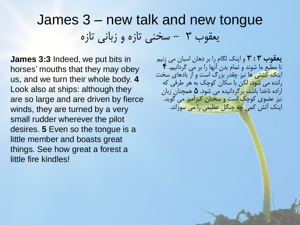### James 3 – new talk and new tongue یعقوب 3 - سخنی تازه و زبانی تازه

**James 3:3** Indeed, we put bits in horses' mouths that they may obey us, and we turn their whole body. **4** Look also at ships: although they are so large and are driven by fierce winds, they are turned by a very small rudder wherever the pilot desires. **5** Even so the tongue is a little member and boasts great things. See how great a forest a little fire kindles!

**یعقوب 3 : 3** و اینک لگام را بر دهان اسبان می زنیم تا مطیع ما شوند و تمام بدن آنها را بر می گردانیم. **4** اینک کشتی ها نیز چقدر بزرگ است و از بادهای سخت رانده می شود، لکن با سکان کوچک به هر طرفی که اراده ناخدا باشد، برگردانیده می شود. **5** همچنان زبان نیز عضوی کوچک است و سخنان کبرآمیز می گوید. اینک آتش کمی چه جنگل عظیمی را می سوزاند.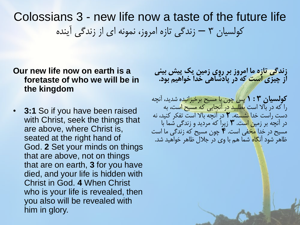### Colossians 3 - new life now a taste of the future life کولسیان 3 – زندگی تازه امروز، نمونه ای از زندگی آینده

#### **Our new life now on earth is a foretaste of who we will be in the kingdom**

• **3:1** So if you have been raised with Christ, seek the things that are above, where Christ is, seated at the right hand of God. **2** Set your minds on things that are above, not on things that are on earth, **3** for you have died, and your life is hidden with Christ in God. **4** When Christ who is your life is revealed, then you also will be revealed with him in glory.

**زندگی تازه ما امروز بر روی زمین یک پیش بینی از چیزی است که در پادشاهی خدا خواهیم بود.**

**کولسیان 3 : 1** پس چون با مسیح برخیزانیده شدید، آنچه را که در باال است بطلبید در آنجایی که مسیح است، به دست راست خدا نشسته. **2** در آنچه باال است تفکر کنید، نه در آنچه بر زمین است. **3** زیرا که مردید و زندگی شما با مسیح در خدا مخفی است. **4** چون مسیح که زندگی ما است ظاهر شود آنگاه شما هم با وی در جالل ظاهر خواهید شد.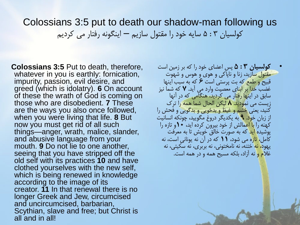#### Colossians 3:5 put to death our shadow-man following us کولسیان 3 : 5 سایه خود را مقتول سازیم – اینگونه رفتار می کردیم

**Colossians 3:5** Put to death, therefore, whatever in you is earthly: fornication, impurity, passion, evil desire, and greed (which is idolatry). **6** On account of these the wrath of God is coming on those who are disobedient. **7** These are the ways you also once followed, when you were living that life. **8** But now you must get rid of all such things—anger, wrath, malice, slander, and abusive language from your mouth. **9** Do not lie to one another, seeing that you have stripped off the old self with its practices **10** and have clothed yourselves with the new self, which is being renewed in knowledge according to the image of its creator. **11** In that renewal there is no longer Greek and Jew, circumcised and uncircumcised, barbarian, Scythian, slave and free; but Christ is all and in all!

• **کولسیان 3 : 5** پس اعضای خود را که بر زمین است مقتول سازید، زنا و ناپاکی و هوی و هوس و شهوت قبیح و طمع که بت پرستی است **6** که به سبب اینها غضب خدا بر ابنای معصیت وارد می آید. **7** که شما نیز سابق در اینها رفتار می کردید، هنگامی که در آنها زیست می نمودید. **8** لیکن الحال شما همه را ترک کنید، یعنی خشم و غیظ و بدخویی و بدگویی و فحش را از زبان خود. **9** به یکدیگر دروغ مگویید، چونکه انسانیت کهنه را با اعمالش از خود بیرون کرده اید، **10**و تازه را پوشیده <mark>اید</mark> که به صورت خالق خویش تا به معرفت کامل، تازه می شود، **11** که در آن نه یونانی است، نه یهود<mark>، نه</mark> ختنه، نه نامختونی، نه بربری، نه سکیتی، نه غالم و نه آزاد، بلکه مسیح همه و در همه است.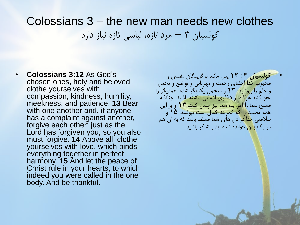#### Colossians 3 – the new man needs new clothes کولسیان 3 – مرد تازه، لباسی تازه نیاز دارد

• **Colossians 3:12** As God's chosen ones, holy and beloved, clothe yourselves with compassion, kindness, humility, meekness, and patience. **13** Bear with one another and, if anyone has a complaint against another, forgive each other; just as the Lord has forgiven you, so you also must forgive. **14** Above all, clothe yourselves with love, which binds everything together in perfect harmony. **15** And let the peace of Christ rule in your hearts, to which indeed you were called in the one body. And be thankful.

• **کولسیان 3 : 12** پس مانند برگزیدگان مقدس و محبوب خدا احشای رحمت و مهربانی و تواضع و تحمل و حلم را بپوشید؛ **13** و متحمل یکدیگر شده، همدیگر را عفو کنید هرگاه بر دیگری ادعایی داشته باشید؛ چنانکه مسیح شما را آمرزید، شما نیز چنین کنید. **14** و بر این همه محبت را که کمربند کمال است بپوشید. **15** و سالمتی خدا در دل های شما مسلط باشد که به آن هم در یک بدن خوانده شده اید و شاکر باشید.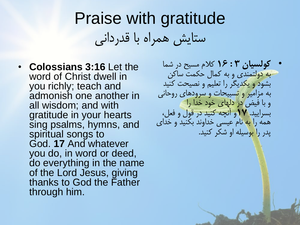## Praise with gratitude ستایش همراه با قدردانی

• **Colossians 3:16** Let the word of Christ dwell in you richly; teach and admonish one another in all wisdom; and with gratitude in your hearts sing psalms, hymns, and spiritual songs to God. **17** And whatever you do, in word or deed, do everything in the name of the Lord Jesus, giving thanks to God the Father through him.

• **کولسیان 3 : 16** کالم مسیح در شما به دولتمندی و به کمال حکمت ساکن بشود و یکدیگر را تعلیم و نصیحت کنید به مزامیر و تسبیحات و سرودهای روحانی و با فیض در دلهای خود خدا را بسرایید. **17**و آنچه کنید در قول و فعل، همه را به نام عیسی خداوند بکنید و خدای پدر را بوسیله او شکر کنید.